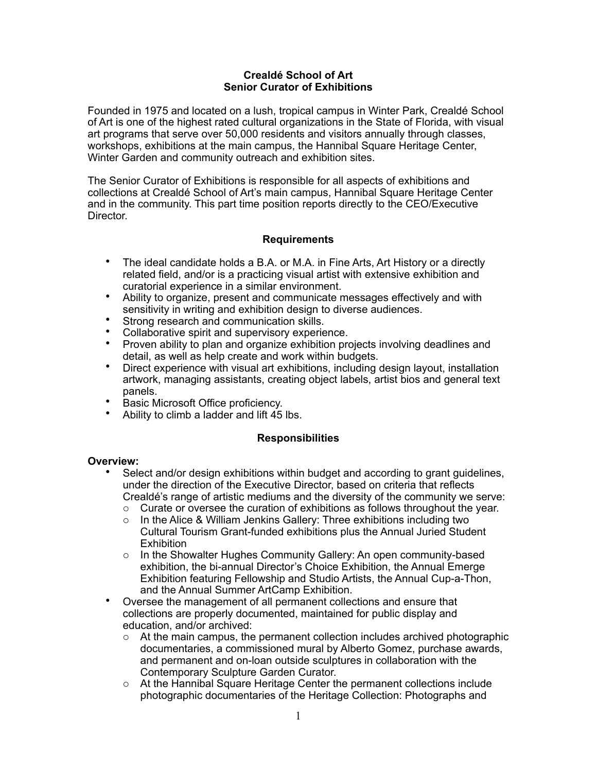### **Crealdé School of Art Senior Curator of Exhibitions**

Founded in 1975 and located on a lush, tropical campus in Winter Park, Crealdé School of Art is one of the highest rated cultural organizations in the State of Florida, with visual art programs that serve over 50,000 residents and visitors annually through classes, workshops, exhibitions at the main campus, the Hannibal Square Heritage Center, Winter Garden and community outreach and exhibition sites.

The Senior Curator of Exhibitions is responsible for all aspects of exhibitions and collections at Crealdé School of Art's main campus, Hannibal Square Heritage Center and in the community. This part time position reports directly to the CEO/Executive Director.

# **Requirements**

- The ideal candidate holds a B.A. or M.A. in Fine Arts, Art History or a directly related field, and/or is a practicing visual artist with extensive exhibition and curatorial experience in a similar environment.
- Ability to organize, present and communicate messages effectively and with sensitivity in writing and exhibition design to diverse audiences.
- Strong research and communication skills.
- Collaborative spirit and supervisory experience.
- Proven ability to plan and organize exhibition projects involving deadlines and detail, as well as help create and work within budgets.
- Direct experience with visual art exhibitions, including design layout, installation artwork, managing assistants, creating object labels, artist bios and general text panels.
- Basic Microsoft Office proficiency.
- Ability to climb a ladder and lift 45 lbs.

#### **Responsibilities**

#### **Overview:**

- Select and/or design exhibitions within budget and according to grant guidelines. under the direction of the Executive Director, based on criteria that reflects Crealdé's range of artistic mediums and the diversity of the community we serve:
	- $\circ$  Curate or oversee the curation of exhibitions as follows throughout the year.
	- o In the Alice & William Jenkins Gallery: Three exhibitions including two Cultural Tourism Grant-funded exhibitions plus the Annual Juried Student **Exhibition**
	- o In the Showalter Hughes Community Gallery: An open community-based exhibition, the bi-annual Director's Choice Exhibition, the Annual Emerge Exhibition featuring Fellowship and Studio Artists, the Annual Cup-a-Thon, and the Annual Summer ArtCamp Exhibition.
- Oversee the management of all permanent collections and ensure that collections are properly documented, maintained for public display and education, and/or archived:
	- $\circ$  At the main campus, the permanent collection includes archived photographic documentaries, a commissioned mural by Alberto Gomez, purchase awards, and permanent and on-loan outside sculptures in collaboration with the Contemporary Sculpture Garden Curator.
	- $\circ$  At the Hannibal Square Heritage Center the permanent collections include photographic documentaries of the Heritage Collection: Photographs and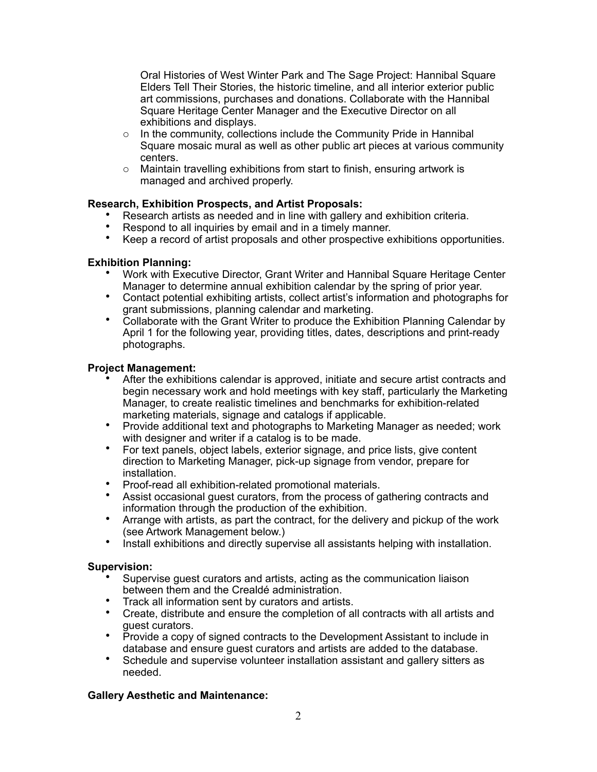Oral Histories of West Winter Park and The Sage Project: Hannibal Square Elders Tell Their Stories, the historic timeline, and all interior exterior public art commissions, purchases and donations. Collaborate with the Hannibal Square Heritage Center Manager and the Executive Director on all exhibitions and displays.

- o In the community, collections include the Community Pride in Hannibal Square mosaic mural as well as other public art pieces at various community centers.
- o Maintain travelling exhibitions from start to finish, ensuring artwork is managed and archived properly.

# **Research, Exhibition Prospects, and Artist Proposals:**

- Research artists as needed and in line with gallery and exhibition criteria.
- Respond to all inquiries by email and in a timely manner.
- Keep a record of artist proposals and other prospective exhibitions opportunities.

#### **Exhibition Planning:**

- Work with Executive Director, Grant Writer and Hannibal Square Heritage Center Manager to determine annual exhibition calendar by the spring of prior year.
- Contact potential exhibiting artists, collect artist's information and photographs for grant submissions, planning calendar and marketing.
- Collaborate with the Grant Writer to produce the Exhibition Planning Calendar by April 1 for the following year, providing titles, dates, descriptions and print-ready photographs.

### **Project Management:**

- After the exhibitions calendar is approved, initiate and secure artist contracts and begin necessary work and hold meetings with key staff, particularly the Marketing Manager, to create realistic timelines and benchmarks for exhibition-related marketing materials, signage and catalogs if applicable.
- Provide additional text and photographs to Marketing Manager as needed; work with designer and writer if a catalog is to be made.
- For text panels, object labels, exterior signage, and price lists, give content direction to Marketing Manager, pick-up signage from vendor, prepare for installation.
- Proof-read all exhibition-related promotional materials.
- Assist occasional guest curators, from the process of gathering contracts and information through the production of the exhibition.
- Arrange with artists, as part the contract, for the delivery and pickup of the work (see Artwork Management below.)
- Install exhibitions and directly supervise all assistants helping with installation.

#### **Supervision:**

- Supervise guest curators and artists, acting as the communication liaison between them and the Crealdé administration.
- Track all information sent by curators and artists.
- Create, distribute and ensure the completion of all contracts with all artists and guest curators.
- Provide a copy of signed contracts to the Development Assistant to include in database and ensure guest curators and artists are added to the database.
- Schedule and supervise volunteer installation assistant and gallery sitters as needed.

#### **Gallery Aesthetic and Maintenance:**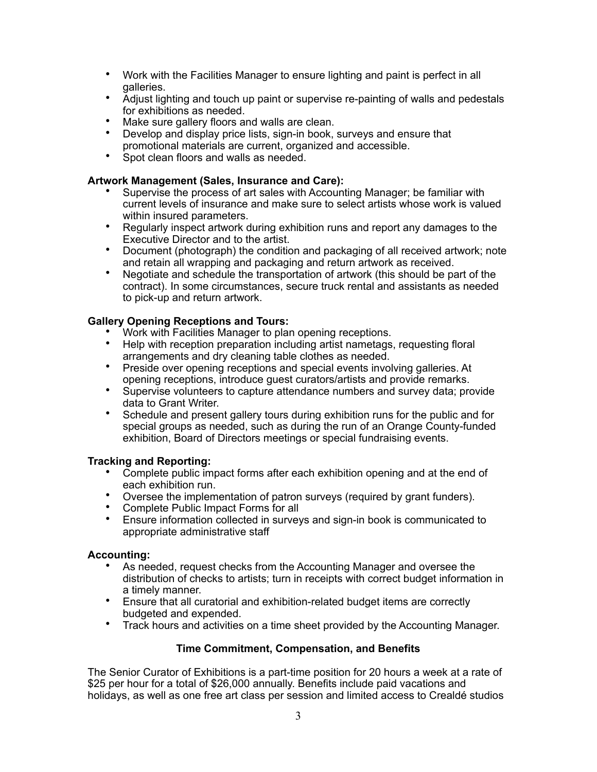- Work with the Facilities Manager to ensure lighting and paint is perfect in all galleries.
- Adjust lighting and touch up paint or supervise re-painting of walls and pedestals for exhibitions as needed.
- Make sure gallery floors and walls are clean.
- Develop and display price lists, sign-in book, surveys and ensure that promotional materials are current, organized and accessible.
- Spot clean floors and walls as needed.

### **Artwork Management (Sales, Insurance and Care):**

- Supervise the process of art sales with Accounting Manager; be familiar with current levels of insurance and make sure to select artists whose work is valued within insured parameters.
- Regularly inspect artwork during exhibition runs and report any damages to the Executive Director and to the artist.
- Document (photograph) the condition and packaging of all received artwork; note and retain all wrapping and packaging and return artwork as received.
- Negotiate and schedule the transportation of artwork (this should be part of the contract). In some circumstances, secure truck rental and assistants as needed to pick-up and return artwork.

### **Gallery Opening Receptions and Tours:**

- Work with Facilities Manager to plan opening receptions.
- Help with reception preparation including artist nametags, requesting floral arrangements and dry cleaning table clothes as needed.
- Preside over opening receptions and special events involving galleries. At opening receptions, introduce guest curators/artists and provide remarks.
- Supervise volunteers to capture attendance numbers and survey data; provide data to Grant Writer.
- Schedule and present gallery tours during exhibition runs for the public and for special groups as needed, such as during the run of an Orange County-funded exhibition, Board of Directors meetings or special fundraising events.

#### **Tracking and Reporting:**

- Complete public impact forms after each exhibition opening and at the end of each exhibition run.
- Oversee the implementation of patron surveys (required by grant funders).
- Complete Public Impact Forms for all
- Ensure information collected in surveys and sign-in book is communicated to appropriate administrative staff

#### **Accounting:**

- As needed, request checks from the Accounting Manager and oversee the distribution of checks to artists; turn in receipts with correct budget information in a timely manner.
- Ensure that all curatorial and exhibition-related budget items are correctly budgeted and expended.
- Track hours and activities on a time sheet provided by the Accounting Manager.

# **Time Commitment, Compensation, and Benefits**

The Senior Curator of Exhibitions is a part-time position for 20 hours a week at a rate of \$25 per hour for a total of \$26,000 annually. Benefits include paid vacations and holidays, as well as one free art class per session and limited access to Crealdé studios